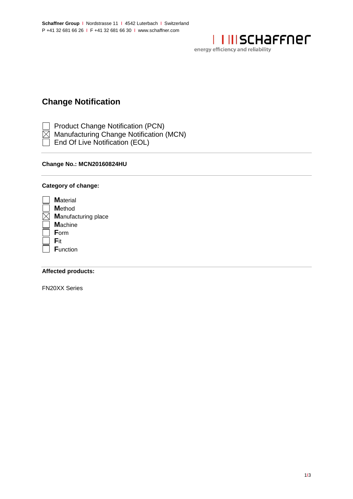

energy efficiency and reliability

# **Change Notification**

Product Change Notification (PCN)

- $\overline{\boxtimes}$  Manufacturing Change Notification (MCN)
- End Of Live Notification (EOL)

# Change No.: MCN20160824HU

# Category of change:

| <b>M</b> aterial           |
|----------------------------|
| <b>M</b> ethod             |
| <b>Manufacturing place</b> |
| <b>Machine</b>             |
| Form                       |
| Fit                        |
| <b>Function</b>            |
|                            |

## **Affected products:**

**FN20XX Series**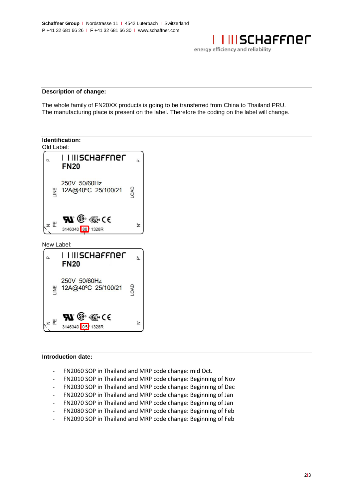<u>I III SCHAFFNEF</u>

energy efficiency and reliability

#### **Description of change:**

The whole family of FN20XX products is going to be transferred from China to Thailand PRU. The manufacturing place is present on the label. Therefore the coding on the label will change.



### **Introduction date:**

- FN2060 SOP in Thailand and MRP code change: mid Oct.
- FN2010 SOP in Thailand and MRP code change: Beginning of Nov
- FN2030 SOP in Thailand and MRP code change: Beginning of Dec
- FN2020 SOP in Thailand and MRP code change: Beginning of Jan
- FN2070 SOP in Thailand and MRP code change: Beginning of Jan
- FN2080 SOP in Thailand and MRP code change: Beginning of Feb
- FN2090 SOP in Thailand and MRP code change: Beginning of Feb